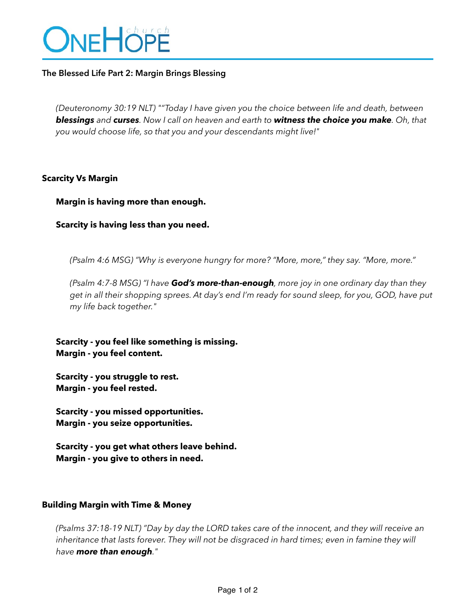

## **The Blessed Life Part 2: Margin Brings Blessing**

*(Deuteronomy 30:19 NLT) ""Today I have given you the choice between life and death, between blessings and curses. Now I call on heaven and earth to witness the choice you make. Oh, that you would choose life, so that you and your descendants might live!"*

### **Scarcity Vs Margin**

**Margin is having more than enough.** 

**Scarcity is having less than you need.**

*(Psalm 4:6 MSG) "Why is everyone hungry for more? "More, more," they say. "More, more."* 

*(Psalm 4:7-8 MSG) "I have God's more-than-enough, more joy in one ordinary day than they get in all their shopping sprees. At day's end I'm ready for sound sleep, for you, GOD, have put my life back together."*

**Scarcity - you feel like something is missing. Margin - you feel content.** 

**Scarcity - you struggle to rest. Margin - you feel rested.** 

**Scarcity - you missed opportunities. Margin - you seize opportunities.** 

**Scarcity - you get what others leave behind. Margin - you give to others in need.** 

#### **Building Margin with Time & Money**

*(Psalms 37:18-19 NLT) "Day by day the LORD takes care of the innocent, and they will receive an*  inheritance that lasts forever. They will not be disgraced in hard times; even in famine they will *have more than enough."*